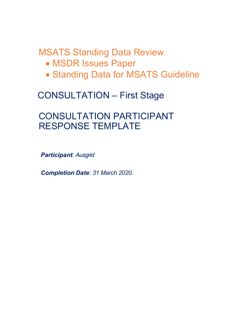MSATS Standing Data Review

- MSDR Issues Paper
- Standing Data for MSATS Guideline

# CONSULTATION – First Stage

# CONSULTATION PARTICIPANT RESPONSE TEMPLATE

**Participant: Ausgrid** 

Completion Date: 31 March 2020.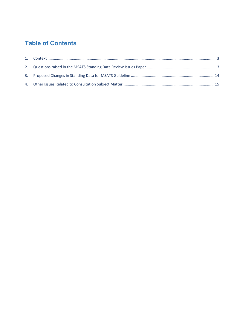## Table of Contents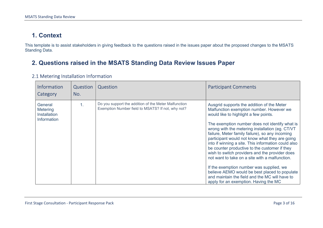### 1. Context

This template is to assist stakeholders in giving feedback to the questions raised in the issues paper about the proposed changes to the MSATS Standing Data.

### 2. Questions raised in the MSATS Standing Data Review Issues Paper

| <b>Information</b><br>Category                            | Question<br>No. | Question                                                                                                  | <b>Participant Comments</b>                                                                                                                                                                                                                                                                                                                                                                                                                                                                                                                                                                                                                                                                                                                   |
|-----------------------------------------------------------|-----------------|-----------------------------------------------------------------------------------------------------------|-----------------------------------------------------------------------------------------------------------------------------------------------------------------------------------------------------------------------------------------------------------------------------------------------------------------------------------------------------------------------------------------------------------------------------------------------------------------------------------------------------------------------------------------------------------------------------------------------------------------------------------------------------------------------------------------------------------------------------------------------|
| General<br>Metering<br><b>Installation</b><br>Information | 1.              | Do you support the addition of the Meter Malfunction<br>Exemption Number field to MSATS? If not, why not? | Ausgrid supports the addition of the Meter<br>Malfunction exemption number. However we<br>would like to highlight a few points.<br>The exemption number does not identify what is<br>wrong with the metering installation (eg. CT/VT<br>failure, Meter family failure), so any incoming<br>participant would not know what they are going<br>into if winning a site. This information could also<br>be counter productive to the customer if they<br>wish to switch providers and the provider does<br>not want to take on a site with a malfunction.<br>If the exemption number was supplied, we<br>believe AEMO would be best placed to populate<br>and maintain the field and the MC will have to<br>apply for an exemption. Having the MC |

#### 2.1 Metering Installation Information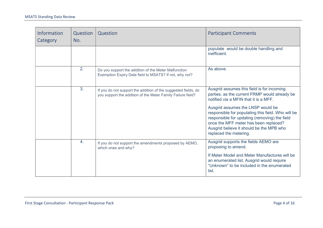| <b>Information</b><br>Category | Question<br>No.  | Question                                                                                                                      | <b>Participant Comments</b>                                                                                                                                                                                                                             |
|--------------------------------|------------------|-------------------------------------------------------------------------------------------------------------------------------|---------------------------------------------------------------------------------------------------------------------------------------------------------------------------------------------------------------------------------------------------------|
|                                |                  |                                                                                                                               | populate would be double handling and<br>inefficient.                                                                                                                                                                                                   |
|                                | 2.               | Do you support the addition of the Meter Malfunction<br>Exemption Expiry Date field to MSATS? If not, why not?                | As above.                                                                                                                                                                                                                                               |
|                                | 3.               | If you do not support the addition of the suggested fields, do<br>you support the addition of the Meter Family Failure field? | Ausgrid assumes this field is for incoming<br>parties, as the current FRMP would already be<br>notified via a MFIN that it is a MFF.                                                                                                                    |
|                                |                  |                                                                                                                               | Ausgrid assumes the LNSP would be<br>responsible for populating this field. Who will be<br>responsible for updating (removing) the field<br>once the MFF meter has been replaced?<br>Ausgrid believe it should be the MPB who<br>replaced the metering. |
|                                | $\overline{4}$ . | If you do not support the amendments proposed by AEMO,<br>which ones and why?                                                 | Ausgrid supports the fields AEMO are<br>proposing to amend.                                                                                                                                                                                             |
|                                |                  |                                                                                                                               | If Meter Model and Meter Manufactures will be<br>an enumerated list, Ausgrid would require<br>"Unknown" to be included in the enumerated<br>list.                                                                                                       |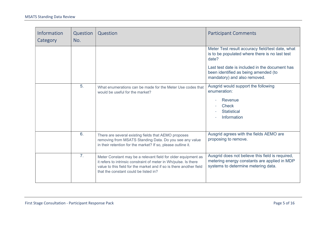| Information<br>Category | Question<br>No. | Question                                                                                                                                                                                                                                          | <b>Participant Comments</b>                                                                                                             |
|-------------------------|-----------------|---------------------------------------------------------------------------------------------------------------------------------------------------------------------------------------------------------------------------------------------------|-----------------------------------------------------------------------------------------------------------------------------------------|
|                         |                 |                                                                                                                                                                                                                                                   | Meter Test result accuracy field/test date, what<br>is to be populated where there is no last test<br>date?                             |
|                         |                 |                                                                                                                                                                                                                                                   | Last test date is included in the document has<br>been identified as being amended (to<br>mandatory) and also removed.                  |
|                         | 5.              | What enumerations can be made for the Meter Use codes that<br>would be useful for the market?                                                                                                                                                     | Ausgrid would support the following<br>enumeration:<br>Revenue<br><b>Check</b><br><b>Statistical</b><br>Information                     |
|                         | 6.              | There are several existing fields that AEMO proposes<br>removing from MSATS Standing Data. Do you see any value<br>in their retention for the market? If so, please outline it.                                                                   | Ausgrid agrees with the fields AEMO are<br>proposing to remove.                                                                         |
|                         | 7.              | Meter Constant may be a relevant field for older equipment as<br>it refers to intrinsic constraint of meter in Wh/pulse. Is there<br>value to this field for the market and if so is there another field<br>that the constant could be listed in? | Ausgrid does not believe this field is required,<br>metering energy constants are applied in MDP<br>systems to determine metering data. |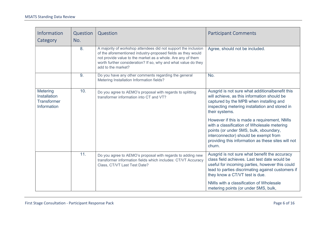| Information<br>Category                                              | Question<br>No. | Question                                                                                                                                                                                                                                                                              | <b>Participant Comments</b>                                                                                                                                                                                                                   |
|----------------------------------------------------------------------|-----------------|---------------------------------------------------------------------------------------------------------------------------------------------------------------------------------------------------------------------------------------------------------------------------------------|-----------------------------------------------------------------------------------------------------------------------------------------------------------------------------------------------------------------------------------------------|
|                                                                      | 8.              | A majority of workshop attendees did not support the inclusion<br>of the aforementioned industry-proposed fields as they would<br>not provide value to the market as a whole. Are any of them<br>worth further consideration? If so, why and what value do they<br>add to the market? | Agree, should not be included.                                                                                                                                                                                                                |
|                                                                      | 9.              | Do you have any other comments regarding the general<br>Metering Installation Information fields?                                                                                                                                                                                     | No.                                                                                                                                                                                                                                           |
| Metering<br><b>Installation</b><br><b>Transformer</b><br>Information | 10.             | Do you agree to AEMO's proposal with regards to splitting<br>transformer information into CT and VT?                                                                                                                                                                                  | Ausgrid is not sure what additionalbenefit this<br>will achieve, as this information should be<br>captured by the MPB when installing and<br>inspecting metering installation and stored in<br>their systems.                                 |
|                                                                      |                 |                                                                                                                                                                                                                                                                                       | However if this is made a requirement, NMIs<br>with a classification of Wholesale metering<br>points (or under 5MS, bulk, xboundary,<br>interconnector) should be exempt from<br>providing this information as these sites will not<br>churn. |
|                                                                      | 11.             | Do you agree to AEMO's proposal with regards to adding new<br>transformer information fields which includes: CT/VT Accuracy<br>Class, CT/VT Last Test Date?                                                                                                                           | Ausgrid is not sure what benefit the accuracy<br>class field achieves. Last test date would be<br>useful for incoming parties, however this could<br>lead to parties discrimating against customers if<br>they know a CT/VT test is due.      |
|                                                                      |                 |                                                                                                                                                                                                                                                                                       | NMIs with a classification of Wholesale<br>metering points (or under 5MS, bulk,                                                                                                                                                               |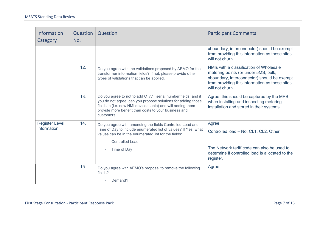| Information<br>Category              | Question<br>No. | Question                                                                                                                                                                                                                                                          | <b>Participant Comments</b>                                                                                                                                                                         |
|--------------------------------------|-----------------|-------------------------------------------------------------------------------------------------------------------------------------------------------------------------------------------------------------------------------------------------------------------|-----------------------------------------------------------------------------------------------------------------------------------------------------------------------------------------------------|
|                                      |                 |                                                                                                                                                                                                                                                                   | xboundary, interconnector) should be exempt<br>from providing this information as these sites<br>will not churn.                                                                                    |
|                                      | 12.             | Do you agree with the validations proposed by AEMO for the<br>transformer information fields? If not, please provide other<br>types of validations that can be applied.                                                                                           | NMIs with a classification of Wholesale<br>metering points (or under 5MS, bulk,<br>xboundary, interconnector) should be exempt<br>from providing this information as these sites<br>will not churn. |
|                                      | 13.             | Do you agree to not to add CT/VT serial number fields, and if<br>you do not agree, can you propose solutions for adding those<br>fields in (i.e. new NMI devices table) and will adding them<br>provide more benefit than costs to your business and<br>customers | Agree, this should be captured by the MPB<br>when installing and inspecting metering<br>installation and stored in their systems.                                                                   |
| <b>Register Level</b><br>Information | 14.             | Do you agree with amending the fields Controlled Load and<br>Time of Day to include enumerated list of values? If Yes, what<br>values can be in the enumerated list for the fields:<br><b>Controlled Load</b><br>Time of Day                                      | Agree.<br>Controlled load - No, CL1, CL2, Other<br>The Network tariff code can also be used to<br>determine if controlled load is allocated to the<br>register.                                     |
|                                      | 15.             | Do you agree with AEMO's proposal to remove the following<br>fields?<br>Demand1                                                                                                                                                                                   | Agree.                                                                                                                                                                                              |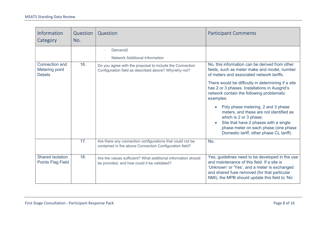| Information<br>Category                                   | Question<br>No. | Question                                                                                                            | <b>Participant Comments</b>                                                                                                                                                                                                                       |
|-----------------------------------------------------------|-----------------|---------------------------------------------------------------------------------------------------------------------|---------------------------------------------------------------------------------------------------------------------------------------------------------------------------------------------------------------------------------------------------|
|                                                           |                 | Demand <sub>2</sub>                                                                                                 |                                                                                                                                                                                                                                                   |
|                                                           |                 | <b>Network Additional Information</b>                                                                               |                                                                                                                                                                                                                                                   |
| <b>Connection and</b><br>Metering point<br><b>Details</b> | 16.             | Do you agree with the proposal to include the Connection<br>Configuration field as described above? Why/why not?    | No, this information can be derived from other<br>fields, such as meter make and model, number<br>of meters and associated network tariffs.                                                                                                       |
|                                                           |                 |                                                                                                                     | There would be difficulty in determining if a site<br>has 2 or 3 phases. Installations in Ausgrid's<br>network contain the following problematic<br>examples:                                                                                     |
|                                                           |                 |                                                                                                                     | Poly phase metering, 2 and 3 phase<br>meters, and these are not identified as<br>which is 2 or 3 phase;<br>Site that have 2 phases with a single<br>phase meter on each phase (one phase<br>Domestic tariff, other phase CL tariff).              |
|                                                           | 17.             | Are there any connection configurations that could not be<br>contained in the above Connection Configuration field? | No.                                                                                                                                                                                                                                               |
| <b>Shared Isolation</b><br><b>Points Flag Field</b>       | 18.             | Are the values sufficient? What additional information should<br>be provided, and how could it be validated?        | Yes, guidelines need to be developed in the use<br>and maintenance of this field. If a site is<br>'Unknown' or 'Yes', and a meter is exchanged<br>and shared fuse removed (for that particular<br>NMI), the MPB should update this field to 'No'. |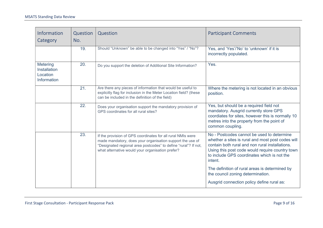| Information<br>Category                             | Question<br>No. | Question                                                                                                                                                                                                                                        | <b>Participant Comments</b>                                                                                                                                                                                                                                     |
|-----------------------------------------------------|-----------------|-------------------------------------------------------------------------------------------------------------------------------------------------------------------------------------------------------------------------------------------------|-----------------------------------------------------------------------------------------------------------------------------------------------------------------------------------------------------------------------------------------------------------------|
|                                                     | 19.             | Should "Unknown" be able to be changed into "Yes" / "No"?                                                                                                                                                                                       | Yes, and 'Yes'/'No' to 'unknown' if it is<br>incorrectly populated.                                                                                                                                                                                             |
| Metering<br>Installation<br>Location<br>Information | 20.             | Do you support the deletion of Additional Site Information?                                                                                                                                                                                     | Yes.                                                                                                                                                                                                                                                            |
|                                                     | 21.             | Are there any pieces of information that would be useful to<br>explicitly flag for inclusion in the Meter Location field? (these<br>can be included in the definition of the field)                                                             | Where the metering is not located in an obvious<br>position.                                                                                                                                                                                                    |
|                                                     | 22.             | Does your organisation support the mandatory provision of<br>GPS coordinates for all rural sites?                                                                                                                                               | Yes, but should be a required field not<br>mandatory. Ausgrid currently store GPS<br>coordiates for sites, however this is normally 10<br>metres into the property from the point of<br>common coupling.                                                        |
|                                                     | 23.             | If the provision of GPS coordinates for all rural NMIs were<br>made mandatory, does your organisation support the use of<br>"Designated regional area postcodes" to define "rural"? If not,<br>what alternative would your organisation prefer? | No - Postcodes cannot be used to determine<br>whether a sites is rural and most post codes will<br>contain both rural and non rural installations.<br>Using this post code would require country town<br>to include GPS coordinates which is not the<br>intent. |
|                                                     |                 |                                                                                                                                                                                                                                                 | The definition of rural areas is determined by<br>the council zoning determination.                                                                                                                                                                             |
|                                                     |                 |                                                                                                                                                                                                                                                 | Ausgrid connection policy define rural as:                                                                                                                                                                                                                      |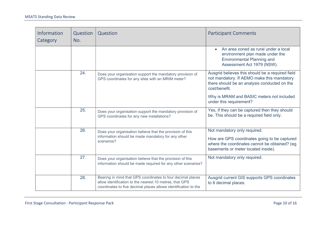| Information<br>Category | <b>Question</b><br>No. | Question                                                                                                                                                                                  | <b>Participant Comments</b>                                                                                                                                           |
|-------------------------|------------------------|-------------------------------------------------------------------------------------------------------------------------------------------------------------------------------------------|-----------------------------------------------------------------------------------------------------------------------------------------------------------------------|
|                         |                        |                                                                                                                                                                                           | An area zoned as rural under a local<br>$\bullet$<br>environment plan made under the<br><b>Environmental Planning and</b><br>Assessment Act 1979 (NSW).               |
|                         | 24.                    | Does your organisation support the mandatory provision of<br>GPS coordinates for any sites with an MRIM meter?                                                                            | Ausgrid believes this should be a required field<br>not mandatory. If AEMO make this mandatory<br>there should be an analysis conducted on the<br>cost/benefit.       |
|                         |                        |                                                                                                                                                                                           | Why is MRAM and BASIC meters not included<br>under this requirement?                                                                                                  |
|                         | 25.                    | Does your organisation support the mandatory provision of<br>GPS coordinates for any new installations?                                                                                   | Yes, if they can be captured then they should<br>be. This should be a required field only.                                                                            |
|                         | 26.                    | Does your organisation believe that the provision of this<br>information should be made mandatory for any other<br>scenarios?                                                             | Not mandatory only required.<br>How are GPS coordinates going to be captured<br>where the coordinates cannot be obtained? (eg.<br>basements or meter located inside). |
|                         | 27.                    | Does your organisation believe that the provision of this<br>information should be made required for any other scenarios?                                                                 | Not mandatory only required.                                                                                                                                          |
|                         | 28.                    | Bearing in mind that GPS coordinates to four decimal places<br>allow identification to the nearest 10 metres, that GPS<br>coordinates to five decimal places allows identification to the | Ausgrid current GIS supports GPS coordinates<br>to 6 decimal places.                                                                                                  |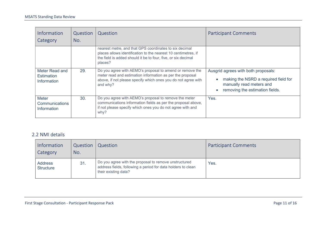| <b>Information</b><br>Category                              | Question<br>No. | Question                                                                                                                                                                                             | <b>Participant Comments</b>                                                                                                                             |
|-------------------------------------------------------------|-----------------|------------------------------------------------------------------------------------------------------------------------------------------------------------------------------------------------------|---------------------------------------------------------------------------------------------------------------------------------------------------------|
|                                                             |                 | nearest metre, and that GPS coordinates to six decimal<br>places allows identification to the nearest 10 centimetres, if<br>the field is added should it be to four, five, or six decimal<br>places? |                                                                                                                                                         |
| Meter Read and<br><b>Estimation</b><br><b>Information</b>   | 29.             | Do you agree with AEMO's proposal to amend or remove the<br>meter read and estimation information as per the proposal<br>above, if not please specify which ones you do not agree with<br>and why?   | Ausgrid agrees with both proposals:<br>making the NSRD a required field for<br>manually read meters and<br>removing the estimation fields.<br>$\bullet$ |
| <b>Meter</b><br><b>Communications</b><br><b>Information</b> | 30.             | Do you agree with AEMO's proposal to remove the meter<br>communications information fields as per the proposal above,<br>if not please specify which ones you do not agree with and<br>why?          | Yes.                                                                                                                                                    |

#### 2.2 NMI details

| <b>Information</b><br>Category     | Question<br>No. | Question                                                                                                                                      | <b>Participant Comments</b> |
|------------------------------------|-----------------|-----------------------------------------------------------------------------------------------------------------------------------------------|-----------------------------|
| <b>Address</b><br><b>Structure</b> | 31.             | Do you agree with the proposal to remove unstructured<br>address fields, following a period for data holders to clean<br>their existing data? | Yes.                        |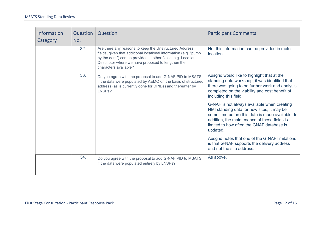| <b>Information</b><br>Category | Question<br>No. | Question                                                                                                                                                                                                                                                                | <b>Participant Comments</b>                                                                                                                                                                                                                            |
|--------------------------------|-----------------|-------------------------------------------------------------------------------------------------------------------------------------------------------------------------------------------------------------------------------------------------------------------------|--------------------------------------------------------------------------------------------------------------------------------------------------------------------------------------------------------------------------------------------------------|
|                                | 32.             | Are there any reasons to keep the Unstructured Address<br>fields, given that additional locational information (e.g. "pump<br>by the dam") can be provided in other fields, e.g. Location<br>Descriptor where we have proposed to lengthen the<br>characters available? | No, this information can be provided in meter<br>location.                                                                                                                                                                                             |
|                                | 33.             | Do you agree with the proposal to add G-NAF PID to MSATS<br>if the data were populated by AEMO on the basis of structured<br>address (as is currently done for DPIDs) and thereafter by<br>LNSPs?                                                                       | Ausgrid would like to highlight that at the<br>standing data workshop, it was identified that<br>there was going to be further work and analysis<br>completed on the viability and cost benefit of<br>including this field.                            |
|                                |                 |                                                                                                                                                                                                                                                                         | G-NAF is not always available when creating<br>NMI standing data for new sites, it may be<br>some time before this data is made available. In<br>addition, the maintenance of these fields is<br>limited to how often the GNAF database is<br>updated. |
|                                |                 |                                                                                                                                                                                                                                                                         | Ausgrid notes that one of the G-NAF limitations<br>is that G-NAF supports the delivery address<br>and not the site address.                                                                                                                            |
|                                | 34.             | Do you agree with the proposal to add G-NAF PID to MSATS<br>if the data were populated entirely by LNSPs?                                                                                                                                                               | As above.                                                                                                                                                                                                                                              |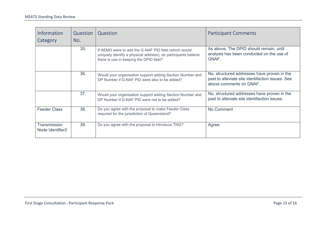| <b>Information</b><br>Category          | Question<br>No. | Question                                                                                                                                                          | <b>Participant Comments</b>                                                                                                |
|-----------------------------------------|-----------------|-------------------------------------------------------------------------------------------------------------------------------------------------------------------|----------------------------------------------------------------------------------------------------------------------------|
|                                         | 35.             | If AEMO were to add the G-NAF PID field (which would<br>uniquely identify a physical address), do participants believe<br>there is use in keeping the DPID field? | As above. The DPID should remain, until<br>analysis has been conducted on the use of<br>GNAF.                              |
|                                         | 36.             | Would your organisation support adding Section Number and<br>DP Number if G-NAF PID were also to be added?                                                        | No, structured addresses have proven in the<br>past to alleviate site identifaction issues. See<br>above comments on GNAF. |
|                                         | 37.             | Would your organisation support adding Section Number and<br>DP Number if G-NAF PID were not to be added?                                                         | No, structured addresses have proven in the<br>past to alleviate site identifaction issues.                                |
| <b>Feeder Class</b>                     | 38.             | Do you agree with the proposal to make Feeder Class<br>required for the jurisdiction of Queensland?                                                               | No Comment                                                                                                                 |
| <b>Transmission</b><br>Node Identifier2 | 39.             | Do you agree with the proposal to introduce TNI2?                                                                                                                 | Agree.                                                                                                                     |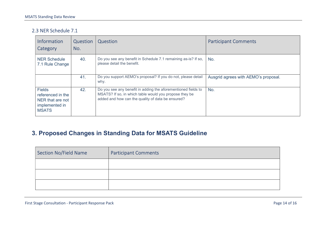#### 2.3 NER Schedule 7.1

| <b>Information</b><br>Category                                                           | Question<br>No. | Question                                                                                                                                                                     | <b>Participant Comments</b>          |
|------------------------------------------------------------------------------------------|-----------------|------------------------------------------------------------------------------------------------------------------------------------------------------------------------------|--------------------------------------|
| <b>NER Schedule</b><br>7.1 Rule Change                                                   | 40.             | Do you see any benefit in Schedule 7.1 remaining as-is? If so,<br>please detail the benefit.                                                                                 | No.                                  |
|                                                                                          | 41.             | Do you support AEMO's proposal? If you do not, please detail<br>why.                                                                                                         | Ausgrid agrees with AEMO's proposal. |
| <b>Fields</b><br>referenced in the<br>NER that are not<br>implemented in<br><b>MSATS</b> | 42.             | Do you see any benefit in adding the aforementioned fields to<br>MSATS? If so, in which table would you propose they be<br>added and how can the quality of data be ensured? | No.                                  |

### 3. Proposed Changes in Standing Data for MSATS Guideline

| <b>Section No/Field Name</b> | <b>Participant Comments</b> |
|------------------------------|-----------------------------|
|                              |                             |
|                              |                             |
|                              |                             |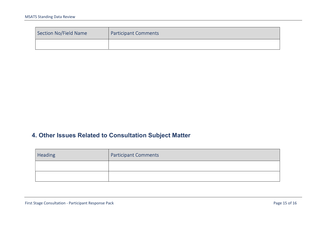| Section No/Field Name | <b>Participant Comments</b> |
|-----------------------|-----------------------------|
|                       |                             |

## 4. Other Issues Related to Consultation Subject Matter

| <b>Heading</b> | <b>Participant Comments</b> |
|----------------|-----------------------------|
|                |                             |
|                |                             |